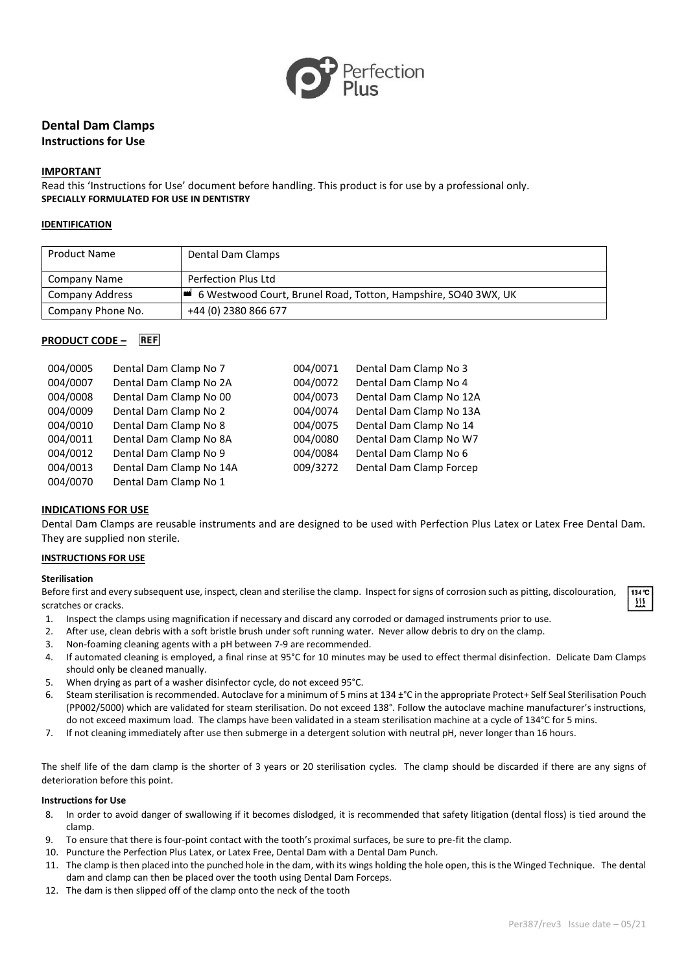

# **Dental Dam Clamps Instructions for Use**

## **IMPORTANT**

Read this 'Instructions for Use' document before handling. This product is for use by a professional only. **SPECIALLY FORMULATED FOR USE IN DENTISTRY**

## **IDENTIFICATION**

| <b>Product Name</b> | Dental Dam Clamps                                                |
|---------------------|------------------------------------------------------------------|
| Company Name        | Perfection Plus Ltd                                              |
| Company Address     | ■ 6 Westwood Court, Brunel Road, Totton, Hampshire, SO40 3WX, UK |
| Company Phone No.   | +44 (0) 2380 866 677                                             |

## **PRODUCT CODE –**

| 004/0005 | Dental Dam Clamp No 7   | 004/0071 | Dental Dam Clamp No 3   |
|----------|-------------------------|----------|-------------------------|
| 004/0007 | Dental Dam Clamp No 2A  | 004/0072 | Dental Dam Clamp No 4   |
| 004/0008 | Dental Dam Clamp No 00  | 004/0073 | Dental Dam Clamp No 12A |
| 004/0009 | Dental Dam Clamp No 2   | 004/0074 | Dental Dam Clamp No 13A |
| 004/0010 | Dental Dam Clamp No 8   | 004/0075 | Dental Dam Clamp No 14  |
| 004/0011 | Dental Dam Clamp No 8A  | 004/0080 | Dental Dam Clamp No W7  |
| 004/0012 | Dental Dam Clamp No 9   | 004/0084 | Dental Dam Clamp No 6   |
| 004/0013 | Dental Dam Clamp No 14A | 009/3272 | Dental Dam Clamp Forcep |
| 004/0070 | Dental Dam Clamp No 1   |          |                         |

## **INDICATIONS FOR USE**

Dental Dam Clamps are reusable instruments and are designed to be used with Perfection Plus Latex or Latex Free Dental Dam. They are supplied non sterile.

#### **INSTRUCTIONS FOR USE**

#### **Sterilisation**

Before first and every subsequent use, inspect, clean and sterilise the clamp. Inspect for signs of corrosion such as pitting, discolouration, scratches or cracks.

- 1. Inspect the clamps using magnification if necessary and discard any corroded or damaged instruments prior to use.
- 2. After use, clean debris with a soft bristle brush under soft running water. Never allow debris to dry on the clamp.
- 3. Non-foaming cleaning agents with a pH between 7-9 are recommended.
- 4. If automated cleaning is employed, a final rinse at 95°C for 10 minutes may be used to effect thermal disinfection. Delicate Dam Clamps should only be cleaned manually.
- 5. When drying as part of a washer disinfector cycle, do not exceed 95°C.
- 6. Steam sterilisation is recommended. Autoclave for a minimum of 5 mins at 134 ±°C in the appropriate Protect+ Self Seal Sterilisation Pouch (PP002/5000) which are validated for steam sterilisation. Do not exceed 138°. Follow the autoclave machine manufacturer's instructions, do not exceed maximum load. The clamps have been validated in a steam sterilisation machine at a cycle of 134°C for 5 mins.
- 7. If not cleaning immediately after use then submerge in a detergent solution with neutral pH, never longer than 16 hours.

The shelf life of the dam clamp is the shorter of 3 years or 20 sterilisation cycles. The clamp should be discarded if there are any signs of deterioration before this point.

#### **Instructions for Use**

- 8. In order to avoid danger of swallowing if it becomes dislodged, it is recommended that safety litigation (dental floss) is tied around the clamp.
- 9. To ensure that there is four-point contact with the tooth's proximal surfaces, be sure to pre-fit the clamp.
- 10. Puncture the Perfection Plus Latex, or Latex Free, Dental Dam with a Dental Dam Punch.
- 11. The clamp is then placed into the punched hole in the dam, with its wings holding the hole open, this is the Winged Technique. The dental dam and clamp can then be placed over the tooth using Dental Dam Forceps.
- 12. The dam is then slipped off of the clamp onto the neck of the tooth

 $134^\circ$ C 逛